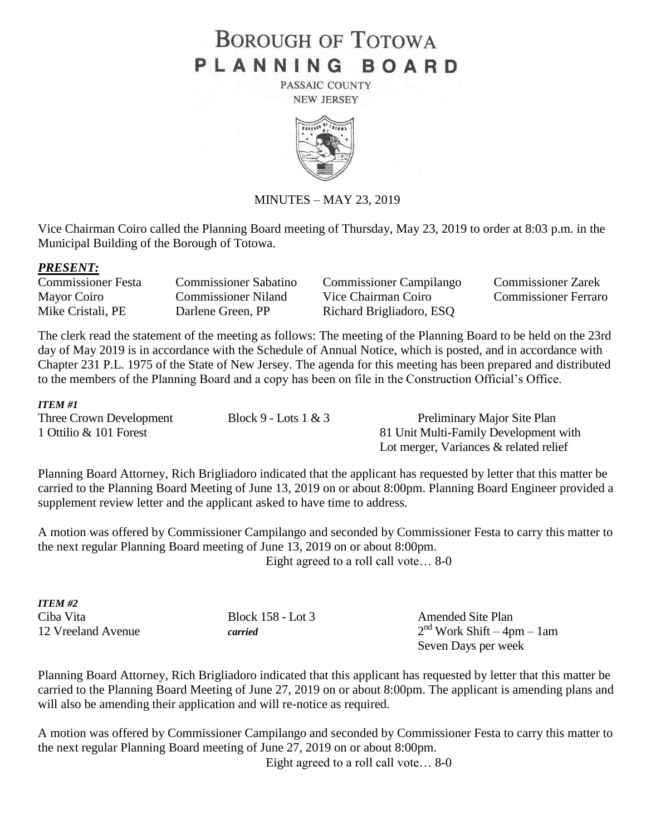# **BOROUGH OF TOTOWA** PLANNING BOARD

PASSAIC COUNTY **NEW JERSEY** 



# MINUTES – MAY 23, 2019

Vice Chairman Coiro called the Planning Board meeting of Thursday, May 23, 2019 to order at 8:03 p.m. in the Municipal Building of the Borough of Totowa.

# *PRESENT:*

| <b>Commissioner Festa</b> | <b>Commissioner Sabatino</b> | <b>Commissioner Campilango</b> | <b>Commissioner Zarek</b>   |
|---------------------------|------------------------------|--------------------------------|-----------------------------|
| Mayor Coiro               | Commissioner Niland          | Vice Chairman Coiro            | <b>Commissioner Ferraro</b> |
| Mike Cristali, PE         | Darlene Green, PP            | Richard Brigliadoro, ESQ       |                             |

The clerk read the statement of the meeting as follows: The meeting of the Planning Board to be held on the 23rd day of May 2019 is in accordance with the Schedule of Annual Notice, which is posted, and in accordance with Chapter 231 P.L. 1975 of the State of New Jersey. The agenda for this meeting has been prepared and distributed to the members of the Planning Board and a copy has been on file in the Construction Official's Office.

#### *ITEM #1*

| Three Crown Development | Block 9 - Lots $1 & 3$ | Preliminary Major Site Plan            |
|-------------------------|------------------------|----------------------------------------|
| 1 Ottilio & 101 Forest  |                        | 81 Unit Multi-Family Development with  |
|                         |                        | Lot merger, Variances & related relief |

Planning Board Attorney, Rich Brigliadoro indicated that the applicant has requested by letter that this matter be carried to the Planning Board Meeting of June 13, 2019 on or about 8:00pm. Planning Board Engineer provided a supplement review letter and the applicant asked to have time to address.

A motion was offered by Commissioner Campilango and seconded by Commissioner Festa to carry this matter to the next regular Planning Board meeting of June 13, 2019 on or about 8:00pm.

Eight agreed to a roll call vote… 8-0

| <b>ITEM #2</b>     |                   |  |
|--------------------|-------------------|--|
| Ciba Vita          | Block 158 - Lot 3 |  |
| 12 Vreeland Avenue | carried           |  |

Block 158 - Lot 3 Amended Site Plan  $2<sup>nd</sup> Work Shift – 4pm – 1am$ Seven Days per week

Planning Board Attorney, Rich Brigliadoro indicated that this applicant has requested by letter that this matter be carried to the Planning Board Meeting of June 27, 2019 on or about 8:00pm. The applicant is amending plans and will also be amending their application and will re-notice as required.

A motion was offered by Commissioner Campilango and seconded by Commissioner Festa to carry this matter to the next regular Planning Board meeting of June 27, 2019 on or about 8:00pm.

Eight agreed to a roll call vote… 8-0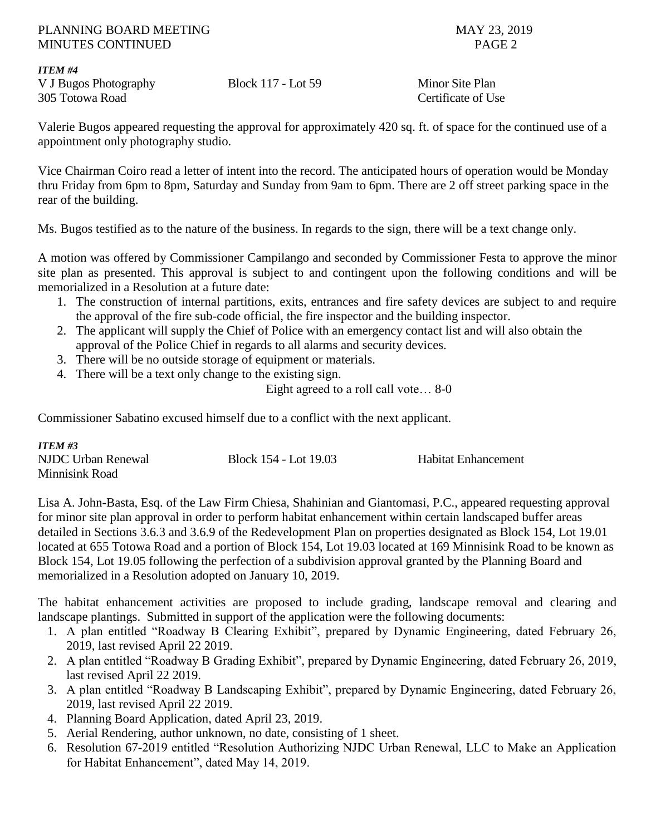*ITEM #4* V J Bugos Photography Block 117 - Lot 59 Minor Site Plan 305 Totowa Road Certificate of Use

Valerie Bugos appeared requesting the approval for approximately 420 sq. ft. of space for the continued use of a appointment only photography studio.

Vice Chairman Coiro read a letter of intent into the record. The anticipated hours of operation would be Monday thru Friday from 6pm to 8pm, Saturday and Sunday from 9am to 6pm. There are 2 off street parking space in the rear of the building.

Ms. Bugos testified as to the nature of the business. In regards to the sign, there will be a text change only.

A motion was offered by Commissioner Campilango and seconded by Commissioner Festa to approve the minor site plan as presented. This approval is subject to and contingent upon the following conditions and will be memorialized in a Resolution at a future date:

- 1. The construction of internal partitions, exits, entrances and fire safety devices are subject to and require the approval of the fire sub-code official, the fire inspector and the building inspector.
- 2. The applicant will supply the Chief of Police with an emergency contact list and will also obtain the approval of the Police Chief in regards to all alarms and security devices.
- 3. There will be no outside storage of equipment or materials.
- 4. There will be a text only change to the existing sign.

Eight agreed to a roll call vote… 8-0

Commissioner Sabatino excused himself due to a conflict with the next applicant.

# *ITEM #3*

| NJDC Urban Renewal | Block 154 - Lot 19.03 | <b>Habitat Enhancement</b> |
|--------------------|-----------------------|----------------------------|
| Minnisink Road     |                       |                            |

Lisa A. John-Basta, Esq. of the Law Firm Chiesa, Shahinian and Giantomasi, P.C., appeared requesting approval for minor site plan approval in order to perform habitat enhancement within certain landscaped buffer areas detailed in Sections 3.6.3 and 3.6.9 of the Redevelopment Plan on properties designated as Block 154, Lot 19.01 located at 655 Totowa Road and a portion of Block 154, Lot 19.03 located at 169 Minnisink Road to be known as Block 154, Lot 19.05 following the perfection of a subdivision approval granted by the Planning Board and memorialized in a Resolution adopted on January 10, 2019.

The habitat enhancement activities are proposed to include grading, landscape removal and clearing and landscape plantings. Submitted in support of the application were the following documents:

- 1. A plan entitled "Roadway B Clearing Exhibit", prepared by Dynamic Engineering, dated February 26, 2019, last revised April 22 2019.
- 2. A plan entitled "Roadway B Grading Exhibit", prepared by Dynamic Engineering, dated February 26, 2019, last revised April 22 2019.
- 3. A plan entitled "Roadway B Landscaping Exhibit", prepared by Dynamic Engineering, dated February 26, 2019, last revised April 22 2019.
- 4. Planning Board Application, dated April 23, 2019.
- 5. Aerial Rendering, author unknown, no date, consisting of 1 sheet.
- 6. Resolution 67-2019 entitled "Resolution Authorizing NJDC Urban Renewal, LLC to Make an Application for Habitat Enhancement", dated May 14, 2019.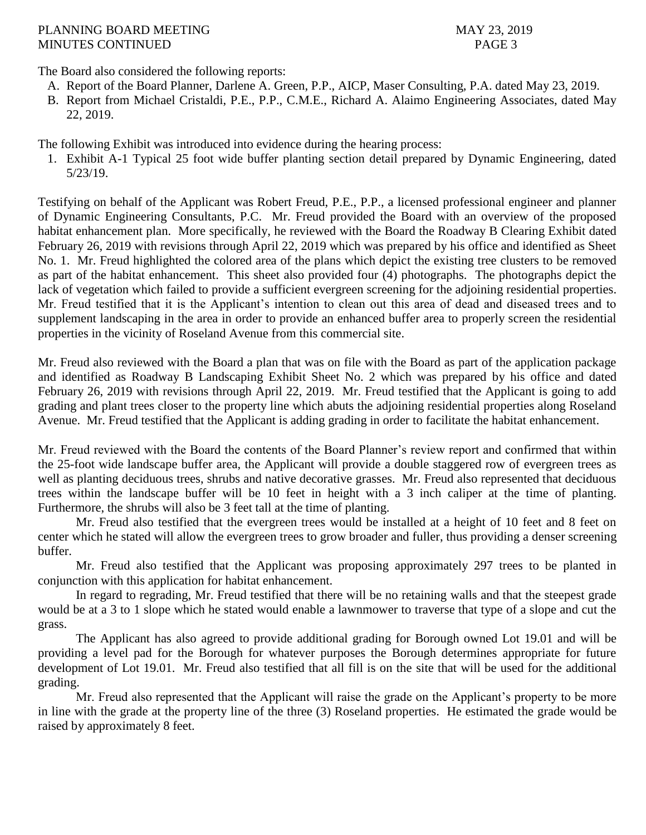The Board also considered the following reports:

- A. Report of the Board Planner, Darlene A. Green, P.P., AICP, Maser Consulting, P.A. dated May 23, 2019.
- B. Report from Michael Cristaldi, P.E., P.P., C.M.E., Richard A. Alaimo Engineering Associates, dated May 22, 2019.

The following Exhibit was introduced into evidence during the hearing process:

1. Exhibit A-1 Typical 25 foot wide buffer planting section detail prepared by Dynamic Engineering, dated 5/23/19.

Testifying on behalf of the Applicant was Robert Freud, P.E., P.P., a licensed professional engineer and planner of Dynamic Engineering Consultants, P.C. Mr. Freud provided the Board with an overview of the proposed habitat enhancement plan. More specifically, he reviewed with the Board the Roadway B Clearing Exhibit dated February 26, 2019 with revisions through April 22, 2019 which was prepared by his office and identified as Sheet No. 1. Mr. Freud highlighted the colored area of the plans which depict the existing tree clusters to be removed as part of the habitat enhancement. This sheet also provided four (4) photographs. The photographs depict the lack of vegetation which failed to provide a sufficient evergreen screening for the adjoining residential properties. Mr. Freud testified that it is the Applicant's intention to clean out this area of dead and diseased trees and to supplement landscaping in the area in order to provide an enhanced buffer area to properly screen the residential properties in the vicinity of Roseland Avenue from this commercial site.

Mr. Freud also reviewed with the Board a plan that was on file with the Board as part of the application package and identified as Roadway B Landscaping Exhibit Sheet No. 2 which was prepared by his office and dated February 26, 2019 with revisions through April 22, 2019. Mr. Freud testified that the Applicant is going to add grading and plant trees closer to the property line which abuts the adjoining residential properties along Roseland Avenue. Mr. Freud testified that the Applicant is adding grading in order to facilitate the habitat enhancement.

Mr. Freud reviewed with the Board the contents of the Board Planner's review report and confirmed that within the 25-foot wide landscape buffer area, the Applicant will provide a double staggered row of evergreen trees as well as planting deciduous trees, shrubs and native decorative grasses. Mr. Freud also represented that deciduous trees within the landscape buffer will be 10 feet in height with a 3 inch caliper at the time of planting. Furthermore, the shrubs will also be 3 feet tall at the time of planting.

Mr. Freud also testified that the evergreen trees would be installed at a height of 10 feet and 8 feet on center which he stated will allow the evergreen trees to grow broader and fuller, thus providing a denser screening buffer.

Mr. Freud also testified that the Applicant was proposing approximately 297 trees to be planted in conjunction with this application for habitat enhancement.

In regard to regrading, Mr. Freud testified that there will be no retaining walls and that the steepest grade would be at a 3 to 1 slope which he stated would enable a lawnmower to traverse that type of a slope and cut the grass.

The Applicant has also agreed to provide additional grading for Borough owned Lot 19.01 and will be providing a level pad for the Borough for whatever purposes the Borough determines appropriate for future development of Lot 19.01. Mr. Freud also testified that all fill is on the site that will be used for the additional grading.

Mr. Freud also represented that the Applicant will raise the grade on the Applicant's property to be more in line with the grade at the property line of the three (3) Roseland properties. He estimated the grade would be raised by approximately 8 feet.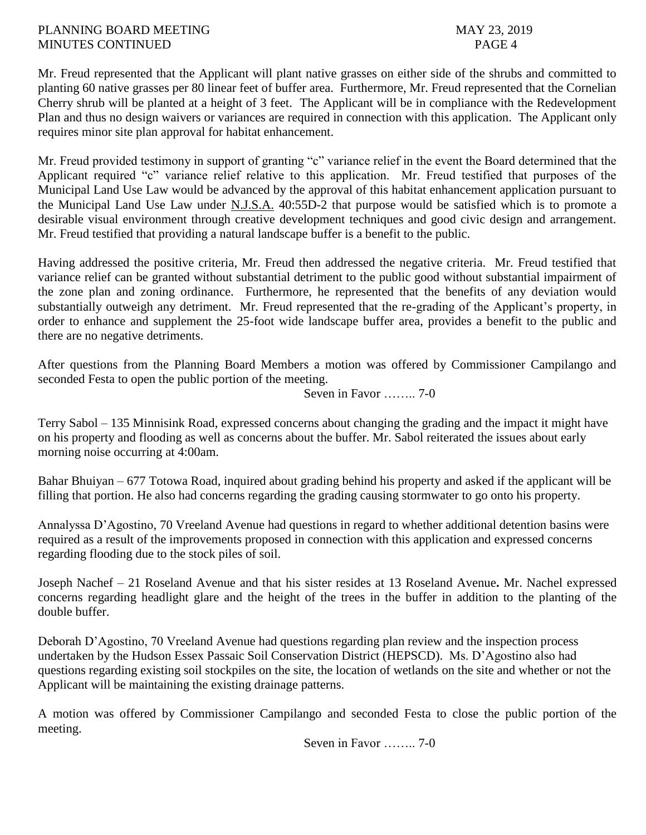Mr. Freud represented that the Applicant will plant native grasses on either side of the shrubs and committed to planting 60 native grasses per 80 linear feet of buffer area. Furthermore, Mr. Freud represented that the Cornelian Cherry shrub will be planted at a height of 3 feet. The Applicant will be in compliance with the Redevelopment Plan and thus no design waivers or variances are required in connection with this application. The Applicant only requires minor site plan approval for habitat enhancement.

Mr. Freud provided testimony in support of granting "c" variance relief in the event the Board determined that the Applicant required "c" variance relief relative to this application. Mr. Freud testified that purposes of the Municipal Land Use Law would be advanced by the approval of this habitat enhancement application pursuant to the Municipal Land Use Law under N.J.S.A. 40:55D-2 that purpose would be satisfied which is to promote a desirable visual environment through creative development techniques and good civic design and arrangement. Mr. Freud testified that providing a natural landscape buffer is a benefit to the public.

Having addressed the positive criteria, Mr. Freud then addressed the negative criteria. Mr. Freud testified that variance relief can be granted without substantial detriment to the public good without substantial impairment of the zone plan and zoning ordinance. Furthermore, he represented that the benefits of any deviation would substantially outweigh any detriment. Mr. Freud represented that the re-grading of the Applicant's property, in order to enhance and supplement the 25-foot wide landscape buffer area, provides a benefit to the public and there are no negative detriments.

After questions from the Planning Board Members a motion was offered by Commissioner Campilango and seconded Festa to open the public portion of the meeting.

Seven in Favor …….. 7-0

Terry Sabol – 135 Minnisink Road, expressed concerns about changing the grading and the impact it might have on his property and flooding as well as concerns about the buffer. Mr. Sabol reiterated the issues about early morning noise occurring at 4:00am.

Bahar Bhuiyan – 677 Totowa Road, inquired about grading behind his property and asked if the applicant will be filling that portion. He also had concerns regarding the grading causing stormwater to go onto his property.

Annalyssa D'Agostino, 70 Vreeland Avenue had questions in regard to whether additional detention basins were required as a result of the improvements proposed in connection with this application and expressed concerns regarding flooding due to the stock piles of soil.

Joseph Nachef – 21 Roseland Avenue and that his sister resides at 13 Roseland Avenue**.** Mr. Nachel expressed concerns regarding headlight glare and the height of the trees in the buffer in addition to the planting of the double buffer.

Deborah D'Agostino, 70 Vreeland Avenue had questions regarding plan review and the inspection process undertaken by the Hudson Essex Passaic Soil Conservation District (HEPSCD). Ms. D'Agostino also had questions regarding existing soil stockpiles on the site, the location of wetlands on the site and whether or not the Applicant will be maintaining the existing drainage patterns.

A motion was offered by Commissioner Campilango and seconded Festa to close the public portion of the meeting.

Seven in Favor …….. 7-0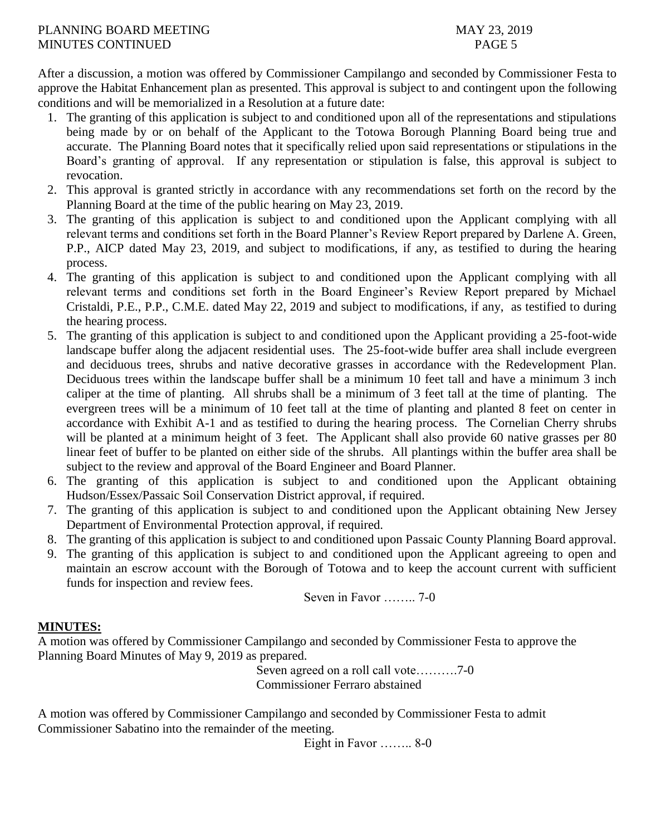After a discussion, a motion was offered by Commissioner Campilango and seconded by Commissioner Festa to approve the Habitat Enhancement plan as presented. This approval is subject to and contingent upon the following conditions and will be memorialized in a Resolution at a future date:

- 1. The granting of this application is subject to and conditioned upon all of the representations and stipulations being made by or on behalf of the Applicant to the Totowa Borough Planning Board being true and accurate. The Planning Board notes that it specifically relied upon said representations or stipulations in the Board's granting of approval. If any representation or stipulation is false, this approval is subject to revocation.
- 2. This approval is granted strictly in accordance with any recommendations set forth on the record by the Planning Board at the time of the public hearing on May 23, 2019.
- 3. The granting of this application is subject to and conditioned upon the Applicant complying with all relevant terms and conditions set forth in the Board Planner's Review Report prepared by Darlene A. Green, P.P., AICP dated May 23, 2019, and subject to modifications, if any, as testified to during the hearing process.
- 4. The granting of this application is subject to and conditioned upon the Applicant complying with all relevant terms and conditions set forth in the Board Engineer's Review Report prepared by Michael Cristaldi, P.E., P.P., C.M.E. dated May 22, 2019 and subject to modifications, if any, as testified to during the hearing process.
- 5. The granting of this application is subject to and conditioned upon the Applicant providing a 25-foot-wide landscape buffer along the adjacent residential uses. The 25-foot-wide buffer area shall include evergreen and deciduous trees, shrubs and native decorative grasses in accordance with the Redevelopment Plan. Deciduous trees within the landscape buffer shall be a minimum 10 feet tall and have a minimum 3 inch caliper at the time of planting. All shrubs shall be a minimum of 3 feet tall at the time of planting. The evergreen trees will be a minimum of 10 feet tall at the time of planting and planted 8 feet on center in accordance with Exhibit A-1 and as testified to during the hearing process. The Cornelian Cherry shrubs will be planted at a minimum height of 3 feet. The Applicant shall also provide 60 native grasses per 80 linear feet of buffer to be planted on either side of the shrubs. All plantings within the buffer area shall be subject to the review and approval of the Board Engineer and Board Planner.
- 6. The granting of this application is subject to and conditioned upon the Applicant obtaining Hudson/Essex/Passaic Soil Conservation District approval, if required.
- 7. The granting of this application is subject to and conditioned upon the Applicant obtaining New Jersey Department of Environmental Protection approval, if required.
- 8. The granting of this application is subject to and conditioned upon Passaic County Planning Board approval.
- 9. The granting of this application is subject to and conditioned upon the Applicant agreeing to open and maintain an escrow account with the Borough of Totowa and to keep the account current with sufficient funds for inspection and review fees.

Seven in Favor …….. 7-0

# **MINUTES:**

A motion was offered by Commissioner Campilango and seconded by Commissioner Festa to approve the Planning Board Minutes of May 9, 2019 as prepared.

Seven agreed on a roll call vote……….7-0 Commissioner Ferraro abstained

A motion was offered by Commissioner Campilango and seconded by Commissioner Festa to admit Commissioner Sabatino into the remainder of the meeting.

Eight in Favor …….. 8-0